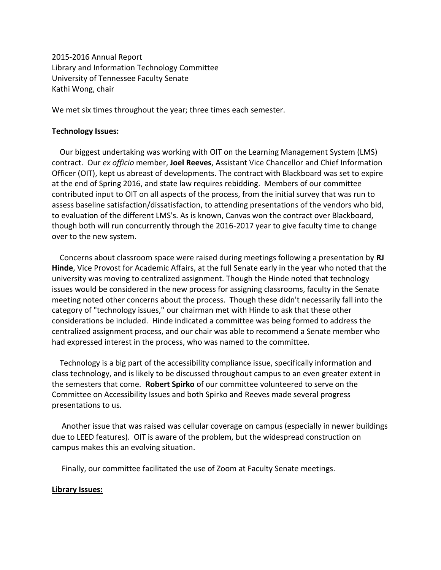2015-2016 Annual Report Library and Information Technology Committee University of Tennessee Faculty Senate Kathi Wong, chair

We met six times throughout the year; three times each semester.

## **Technology Issues:**

 Our biggest undertaking was working with OIT on the Learning Management System (LMS) contract. Our *ex officio* member, **Joel Reeves**, Assistant Vice Chancellor and Chief Information Officer (OIT), kept us abreast of developments. The contract with Blackboard was set to expire at the end of Spring 2016, and state law requires rebidding. Members of our committee contributed input to OIT on all aspects of the process, from the initial survey that was run to assess baseline satisfaction/dissatisfaction, to attending presentations of the vendors who bid, to evaluation of the different LMS's. As is known, Canvas won the contract over Blackboard, though both will run concurrently through the 2016-2017 year to give faculty time to change over to the new system.

 Concerns about classroom space were raised during meetings following a presentation by **RJ Hinde**, Vice Provost for Academic Affairs, at the full Senate early in the year who noted that the university was moving to centralized assignment. Though the Hinde noted that technology issues would be considered in the new process for assigning classrooms, faculty in the Senate meeting noted other concerns about the process. Though these didn't necessarily fall into the category of "technology issues," our chairman met with Hinde to ask that these other considerations be included. Hinde indicated a committee was being formed to address the centralized assignment process, and our chair was able to recommend a Senate member who had expressed interest in the process, who was named to the committee.

 Technology is a big part of the accessibility compliance issue, specifically information and class technology, and is likely to be discussed throughout campus to an even greater extent in the semesters that come. **Robert Spirko** of our committee volunteered to serve on the Committee on Accessibility Issues and both Spirko and Reeves made several progress presentations to us.

 Another issue that was raised was cellular coverage on campus (especially in newer buildings due to LEED features). OIT is aware of the problem, but the widespread construction on campus makes this an evolving situation.

Finally, our committee facilitated the use of Zoom at Faculty Senate meetings.

## **Library Issues:**